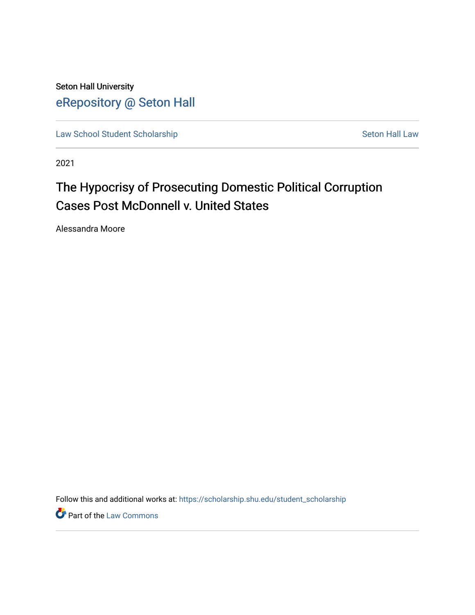Seton Hall University [eRepository @ Seton Hall](https://scholarship.shu.edu/)

[Law School Student Scholarship](https://scholarship.shu.edu/student_scholarship) Seton Hall Law

2021

# The Hypocrisy of Prosecuting Domestic Political Corruption Cases Post McDonnell v. United States

Alessandra Moore

Follow this and additional works at: [https://scholarship.shu.edu/student\\_scholarship](https://scholarship.shu.edu/student_scholarship?utm_source=scholarship.shu.edu%2Fstudent_scholarship%2F1217&utm_medium=PDF&utm_campaign=PDFCoverPages) 

**Part of the [Law Commons](http://network.bepress.com/hgg/discipline/578?utm_source=scholarship.shu.edu%2Fstudent_scholarship%2F1217&utm_medium=PDF&utm_campaign=PDFCoverPages)**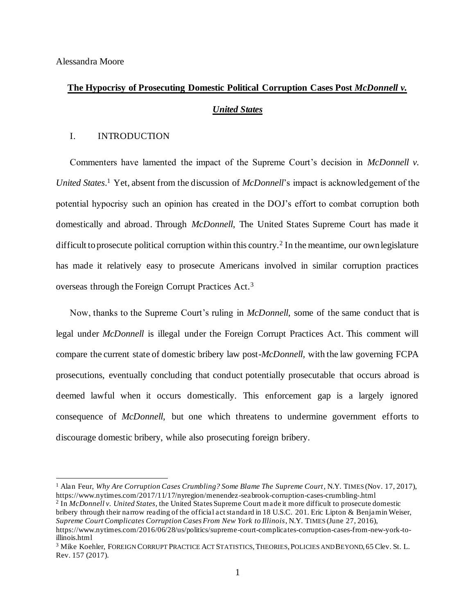Alessandra Moore

### **The Hypocrisy of Prosecuting Domestic Political Corruption Cases Post** *McDonnell v.*

#### *United States*

### I. INTRODUCTION

Commenters have lamented the impact of the Supreme Court's decision in *McDonnell v. United States*. <sup>1</sup> Yet, absent from the discussion of *McDonnell*'s impact is acknowledgement of the potential hypocrisy such an opinion has created in the DOJ's effort to combat corruption both domestically and abroad. Through *McDonnell*, The United States Supreme Court has made it difficult to prosecute political corruption within this country.<sup>2</sup> In the meantime, our own legislature has made it relatively easy to prosecute Americans involved in similar corruption practices overseas through the Foreign Corrupt Practices Act.<sup>3</sup>

Now, thanks to the Supreme Court's ruling in *McDonnell*, some of the same conduct that is legal under *McDonnell* is illegal under the Foreign Corrupt Practices Act. This comment will compare the current state of domestic bribery law post-*McDonnell,* with the law governing FCPA prosecutions, eventually concluding that conduct potentially prosecutable that occurs abroad is deemed lawful when it occurs domestically. This enforcement gap is a largely ignored consequence of *McDonnell*, but one which threatens to undermine government efforts to discourage domestic bribery, while also prosecuting foreign bribery.

<sup>&</sup>lt;sup>1</sup> Alan Feur, *Why Are Corruption Cases Crumbling? Some Blame The Supreme Court*, N.Y. TIMES (Nov. 17, 2017), https://www.nytimes.com/2017/11/17/nyregion/menendez-seabrook-corruption-cases-crumbling-.html

<sup>2</sup> In *McDonnell v. United States*, the United States Supreme Court made it more difficult to prosecute domestic bribery through their narrow reading of the official act standard in 18 U.S.C. 201. Eric Lipton & Benjamin Weiser, *Supreme Court Complicates Corruption Cases From New York to Illinois*, N.Y. TIMES (June 27, 2016), https://www.nytimes.com/2016/06/28/us/politics/supreme-court-complicates-corruption-cases-from-new-york-toillinois.html

<sup>3</sup> Mike Koehler, FOREIGN CORRUPT PRACTICE ACT STATISTICS,THEORIES,POLICIES AND BEYOND, 65 Clev. St. L. Rev. 157 (2017).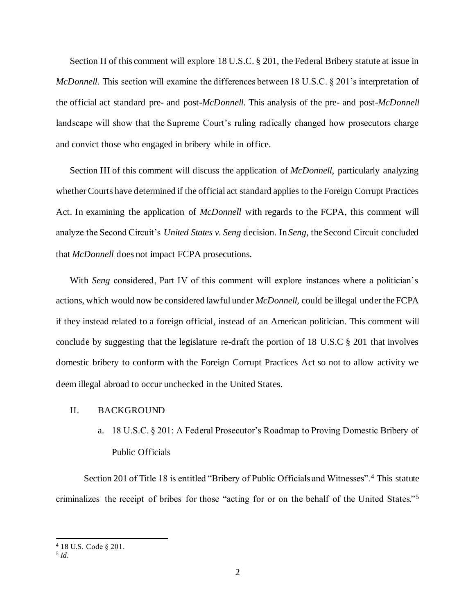Section II of this comment will explore 18 U.S.C. § 201, the Federal Bribery statute at issue in *McDonnell*. This section will examine the differences between 18 U.S.C. § 201's interpretation of the official act standard pre- and post-*McDonnell*. This analysis of the pre- and post-*McDonnell* landscape will show that the Supreme Court's ruling radically changed how prosecutors charge and convict those who engaged in bribery while in office.

Section III of this comment will discuss the application of *McDonnell*, particularly analyzing whether Courts have determined if the official act standard applies to the Foreign Corrupt Practices Act. In examining the application of *McDonnell* with regards to the FCPA, this comment will analyze the Second Circuit's *United States v. Seng* decision. In *Seng*, the Second Circuit concluded that *McDonnell* does not impact FCPA prosecutions.

With *Seng* considered, Part IV of this comment will explore instances where a politician's actions, which would now be considered lawful under *McDonnell*, could be illegal under the FCPA if they instead related to a foreign official, instead of an American politician. This comment will conclude by suggesting that the legislature re-draft the portion of 18 U.S.C  $\S$  201 that involves domestic bribery to conform with the Foreign Corrupt Practices Act so not to allow activity we deem illegal abroad to occur unchecked in the United States.

### II. BACKGROUND

a. 18 U.S.C. § 201: A Federal Prosecutor's Roadmap to Proving Domestic Bribery of Public Officials

Section 201 of Title 18 is entitled "Bribery of Public Officials and Witnesses".<sup>4</sup> This statute criminalizes the receipt of bribes for those "acting for or on the behalf of the United States."<sup>5</sup>

<sup>4</sup> 18 U.S. Code § 201.

<sup>5</sup> *Id.*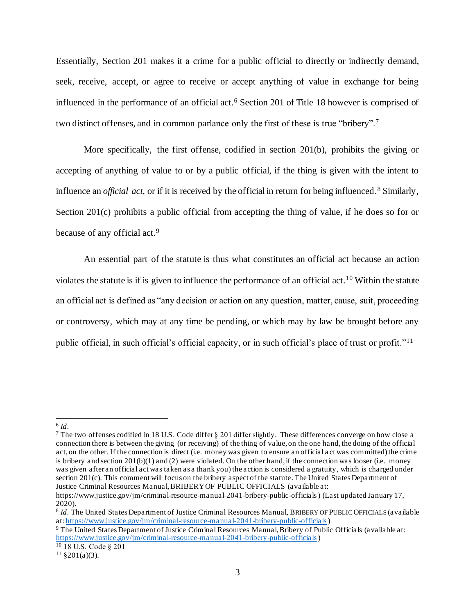Essentially, Section 201 makes it a crime for a public official to directly or indirectly demand, seek, receive, accept, or agree to receive or accept anything of value in exchange for being influenced in the performance of an official act.<sup>6</sup> Section 201 of Title 18 however is comprised of two distinct offenses, and in common parlance only the first of these is true "bribery".<sup>7</sup>

More specifically, the first offense, codified in section 201(b), prohibits the giving or accepting of anything of value to or by a public official, if the thing is given with the intent to influence an *official act*, or if it is received by the official in return for being influenced.<sup>8</sup> Similarly, Section 201(c) prohibits a public official from accepting the thing of value, if he does so for or because of any official act.<sup>9</sup>

An essential part of the statute is thus what constitutes an official act because an action violates the statute is if is given to influence the performance of an official act.<sup>10</sup> Within the statute an official act is defined as "any decision or action on any question, matter, cause, suit, proceeding or controversy, which may at any time be pending, or which may by law be brought before any public official, in such official's official capacity, or in such official's place of trust or profit."<sup>11</sup>

<sup>6</sup> *Id*.

<sup>7</sup> The two offenses codified in 18 U.S. Code differ § 201 differ slightly. These differences converge on how close a connection there is between the giving (or receiving) of the thing of value, on the one hand, the doing of the official act, on the other. If the connection is direct (i.e. money was given to ensure an official a ct was committed) the crime is bribery and section  $201(b)(1)$  and (2) were violated. On the other hand, if the connection was looser (i.e. money was given after an official act was taken as a thank you) the action is considered a gratuity, which is charged under section 201(c). This comment will focus on the bribery aspect of the statute.The United States Department of Justice Criminal Resources Manual, BRIBERY OF PUBLIC OFFICIALS (available at:

https://www.justice.gov/jm/criminal-resource-manual-2041-bribery-public-officials ) (Last updated January 17,  $20\overline{2}0$ ).

<sup>8</sup> *Id*. The United States Department of Justice Criminal Resources Manual, BRIBERY OF PUBLIC OFFICIALS (available at: https://www.justice.gov/jm/criminal-resource-manual-2041-bribery-public-officials)

<sup>9</sup> The United States Department of Justice Criminal Resources Manual, Bribery of Public Officials (available at: https://www.justice.gov/jm/criminal-resource-manual-2041-bribery-public-officials)

<sup>10</sup> 18 U.S. Code § 201

 $11 \text{ } $201(a)(3)$ .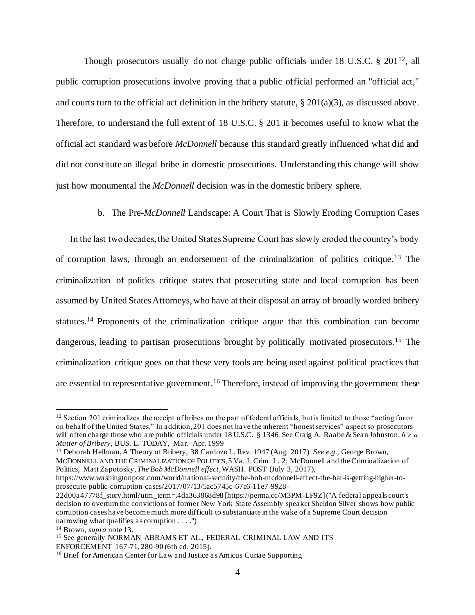Though prosecutors usually do not charge public officials under 18 U.S.C. § 201<sup>12</sup>, all public corruption prosecutions involve proving that a public official performed an "official act," and courts turn to the official act definition in the bribery statute, § 201(a)(3), as discussed above. Therefore, to understand the full extent of 18 U.S.C. § 201 it becomes useful to know what the official act standard was before *McDonnell* because this standard greatly influenced what did and did not constitute an illegal bribe in domestic prosecutions. Understanding this change will show just how monumental the *McDonnell* decision was in the domestic bribery sphere.

### b. The Pre-*McDonnell* Landscape: A Court That is Slowly Eroding Corruption Cases

In the last two decades, the United States Supreme Court has slowly eroded the country's body of corruption laws, through an endorsement of the criminalization of politics critique.<sup>13</sup> The criminalization of politics critique states that prosecuting state and local corruption has been assumed by United States Attorneys, who have at their disposal an array of broadly worded bribery statutes.<sup>14</sup> Proponents of the criminalization critique argue that this combination can become dangerous, leading to partisan prosecutions brought by politically motivated prosecutors.<sup>15</sup> The criminalization critique goes on that these very tools are being used against political practices that are essential to representative government.<sup>16</sup> Therefore, instead of improving the government these

https://www.washingtonpost.com/world/national-security/the-bob-mcdonnell-effect-the-bar-is-getting-higher-toprosecute-public-corruption-cases/2017/07/13/5ac5745c-67e6-11e7-9928-

<sup>&</sup>lt;sup>12</sup> Section 201 criminalizes the receipt of bribes on the part of federal officials, but is limited to those "acting for or on behalf of the United States." In addition, 201 does not have the inherent "honest services" aspect so prosecutors will often charge those who are public officials under 18 U.S.C. § 1346. See Craig A. Raabe & Sean Johnston, *It's a Matter of Bribery*, BUS. L. TODAY, Mar.–Apr. 1999

<sup>13</sup> Deborah Hellman, A Theory of Bribery, 38 Cardozo L. Rev. 1947 (Aug. 2017). *See e.g.,* George Brown, MCDONNELL AND THE CRIMINALIZATION OF POLITICS, 5 Va. J. Crim. L. 2; McDonnell and the Criminalization of Politics, Matt Zapotosky, *The Bob McDonnell effect*, WASH. POST (July 3, 2017),

<sup>22</sup>d00a47778f\_story.html?utm\_term=.4da363868d98 [https://perma.cc/M3PM-LF9Z] ("A federal appeals court's decision to overturn the convictions of former New York State Assembly speaker Sheldon Silver shows how public corruption cases have become much more difficult to substantiate in the wake of a Supreme Court decision narrowing what qualifies as corruption . . . .")

<sup>14</sup> Brown, *supra* note 13.

<sup>&</sup>lt;sup>15</sup> See generally NORMAN ABRAMS ET AL., FEDERAL CRIMINAL LAW AND ITS ENFORCEMENT 167-71, 280-90 (6th ed. 2015).

<sup>16</sup> Brief for American Center for Law and Justice as Amicus Curiae Supporting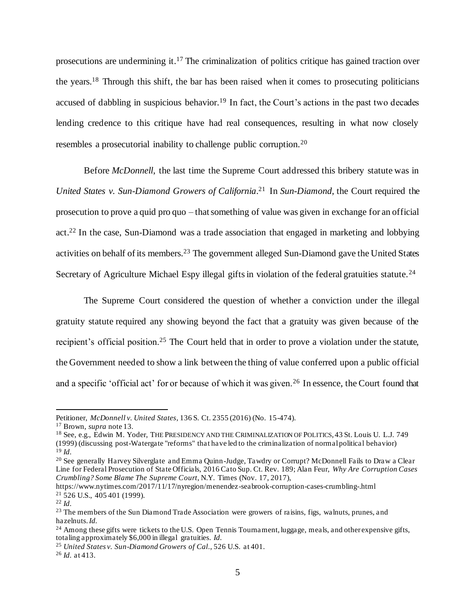prosecutions are undermining it.<sup>17</sup> The criminalization of politics critique has gained traction over the years.<sup>18</sup> Through this shift, the bar has been raised when it comes to prosecuting politicians accused of dabbling in suspicious behavior.<sup>19</sup> In fact, the Court's actions in the past two decades lending credence to this critique have had real consequences, resulting in what now closely resembles a prosecutorial inability to challenge public corruption.<sup>20</sup>

Before *McDonnell*, the last time the Supreme Court addressed this bribery statute was in *United States v. Sun-Diamond Growers of California*. <sup>21</sup> In *Sun-Diamond*, the Court required the prosecution to prove a quid pro quo – that something of value was given in exchange for an official act.<sup>22</sup> In the case, Sun-Diamond was a trade association that engaged in marketing and lobbying activities on behalf of its members.<sup>23</sup> The government alleged Sun-Diamond gave the United States Secretary of Agriculture Michael Espy illegal gifts in violation of the federal gratuities statute.<sup>24</sup>

The Supreme Court considered the question of whether a conviction under the illegal gratuity statute required any showing beyond the fact that a gratuity was given because of the recipient's official position.<sup>25</sup> The Court held that in order to prove a violation under the statute, the Government needed to show a link between the thing of value conferred upon a public official and a specific 'official act' for or because of which it was given.<sup>26</sup> In essence, the Court found that

Petitioner, *McDonnell v. United States*, 136 S. Ct. 2355 (2016) (No. 15-474).

<sup>17</sup> Brown, *supra* note 13.

<sup>18</sup> See, e.g., Edwin M. Yoder, THE PRESIDENCY AND THE CRIMINALIZATION OF POLITICS, 43 St. Louis U. L.J. 749 (1999) (discussing post-Watergate "reforms" that have led to the criminalization of normal political behavior) <sup>19</sup> *Id.*

<sup>&</sup>lt;sup>20</sup> See generally Harvey Silverglate and Emma Quinn-Judge, Tawdry or Corrupt? McDonnell Fails to Draw a Clear Line for Federal Prosecution of State Officials, 2016 Cato Sup. Ct. Rev. 189; Alan Feur, *Why Are Corruption Cases Crumbling? Some Blame The Supreme Court*, N.Y. Times (Nov. 17, 2017),

https://www.nytimes.com/2017/11/17/nyregion/menendez-seabrook-corruption-cases-crumbling-.html  $21\overline{5}26$  U.S.,  $405\overline{4}01$  (1999).

<sup>22</sup> *Id.*

<sup>&</sup>lt;sup>23</sup> The members of the Sun Diamond Trade Association were growers of raisins, figs, walnuts, prunes, and hazelnuts. *Id.*

<sup>&</sup>lt;sup>24</sup> Among these gifts were tickets to the U.S. Open Tennis Tournament, luggage, meals, and other expensive gifts, totaling approximately \$6,000 in illegal gratuities. *Id.*

<sup>25</sup> *United States v. Sun-Diamond Growers of Cal.*, 526 U.S. at 401.

<sup>26</sup> *Id.* at 413.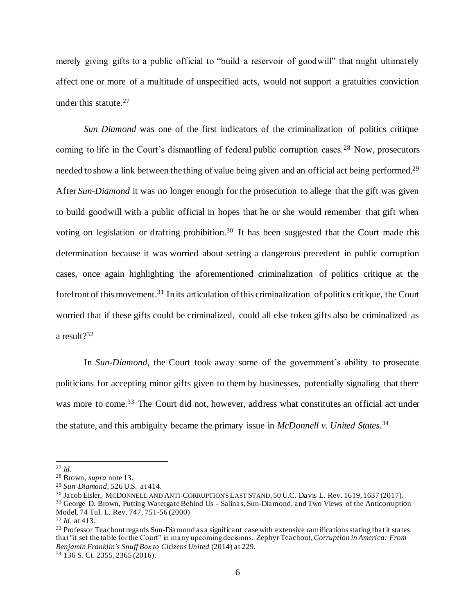merely giving gifts to a public official to "build a reservoir of goodwill" that might ultimately affect one or more of a multitude of unspecified acts, would not support a gratuities conviction under this statute.<sup>27</sup>

*Sun Diamond* was one of the first indicators of the criminalization of politics critique coming to life in the Court's dismantling of federal public corruption cases.<sup>28</sup> Now, prosecutors needed to show a link between the thing of value being given and an official act being performed.<sup>29</sup> After *Sun-Diamond* it was no longer enough for the prosecution to allege that the gift was given to build goodwill with a public official in hopes that he or she would remember that gift when voting on legislation or drafting prohibition.<sup>30</sup> It has been suggested that the Court made this determination because it was worried about setting a dangerous precedent in public corruption cases, once again highlighting the aforementioned criminalization of politics critique at the forefront of this movement.<sup>31</sup> In its articulation of this criminalization of politics critique, the Court worried that if these gifts could be criminalized, could all else token gifts also be criminalized as a result?<sup>32</sup>

In *Sun-Diamond*, the Court took away some of the government's ability to prosecute politicians for accepting minor gifts given to them by businesses, potentially signaling that there was more to come.<sup>33</sup> The Court did not, however, address what constitutes an official act under the statute, and this ambiguity became the primary issue in *McDonnell v. United States*. 34

<sup>27</sup> *Id.*

<sup>28</sup> Brown, *supra* note 13.

<sup>29</sup> *Sun-Diamond*, 526 U.S. at 414.

<sup>30</sup> Jacob Eisler, MCDONNELL AND ANTI-CORRUPTION'S LAST STAND, 50 U.C. Davis L. Rev. 1619, 1637 (2017).

<sup>31</sup> George D. Brown, Putting Watergate Behind Us - Salinas, Sun-Diamond, and Two Views of the Anticorruption Model, 74 Tul. L. Rev. 747, 751-56 (2000)

<sup>32</sup> *Id*. at 413.

<sup>&</sup>lt;sup>33</sup> Professor Teachout regards Sun-Diamond as a significant case with extensive ramifications stating that it states that "it set the table for the Court" in many upcoming decisions. Zephyr Teachout, *Corruption in America: From Benjamin Franklin's Snuff Box to Citizens United* (2014) at 229.

<sup>34</sup> 136 S. Ct. 2355, 2365 (2016).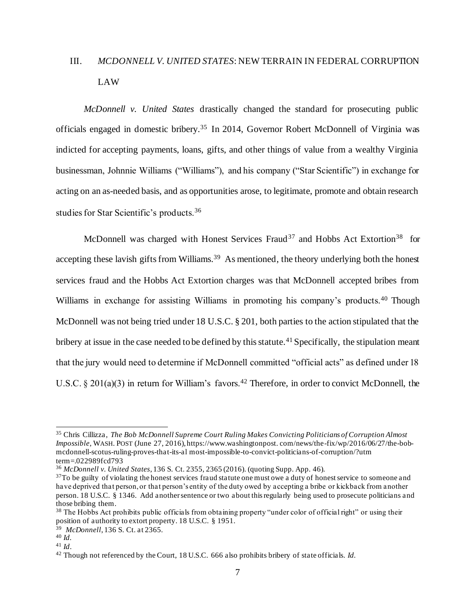# III. *MCDONNELL V. UNITED STATES*: NEW TERRAIN IN FEDERAL CORRUPTION LAW

*McDonnell v. United States* drastically changed the standard for prosecuting public officials engaged in domestic bribery.<sup>35</sup> In 2014, Governor Robert McDonnell of Virginia was indicted for accepting payments, loans, gifts, and other things of value from a wealthy Virginia businessman, Johnnie Williams ("Williams"), and his company ("Star Scientific") in exchange for acting on an as-needed basis, and as opportunities arose, to legitimate, promote and obtain research studies for Star Scientific's products.<sup>36</sup>

McDonnell was charged with Honest Services Fraud<sup>37</sup> and Hobbs Act Extortion<sup>38</sup> for accepting these lavish gifts from Williams.<sup>39</sup> As mentioned, the theory underlying both the honest services fraud and the Hobbs Act Extortion charges was that McDonnell accepted bribes from Williams in exchange for assisting Williams in promoting his company's products.<sup>40</sup> Though McDonnell was not being tried under 18 U.S.C. § 201, both parties to the action stipulated that the bribery at issue in the case needed to be defined by this statute.<sup>41</sup> Specifically, the stipulation meant that the jury would need to determine if McDonnell committed "official acts" as defined under 18 U.S.C. § 201(a)(3) in return for William's favors.<sup>42</sup> Therefore, in order to convict McDonnell, the

<sup>35</sup> Chris Cillizza, *The Bob McDonnell Supreme Court Ruling Makes Convicting Politicians of Corruption Almost Impossible*, WASH. POST (June 27, 2016), https://www.washingtonpost. com/news/the-fix/wp/2016/06/27/the-bobmcdonnell-scotus-ruling-proves-that-its-al most-impossible-to-convict-politicians-of-corruption/?utm term=.022989fcd793

<sup>36</sup> *McDonnell v. United States*, 136 S. Ct. 2355, 2365 (2016). (quoting Supp. App. 46).

 $37T<sub>O</sub>$  be guilty of violating the honest services fraud statute one must owe a duty of honest service to someone and have deprived that person, or that person's entity of the duty owed by accepting a bribe or kickback from another person. 18 U.S.C. § 1346. Add another sentence or two about this regularly being used to prosecute politicians and those bribing them.

<sup>&</sup>lt;sup>38</sup> The Hobbs Act prohibits public officials from obtaining property "under color of official right" or using their position of authority to extort property. 18 U.S.C. § 1951.

<sup>39</sup> *McDonnell*, 136 S. Ct. at 2365.

<sup>40</sup> *Id.*

<sup>41</sup> *Id*.

<sup>42</sup> Though not referenced by the Court, 18 U.S.C. 666 also prohibits bribery of state officials. *Id.*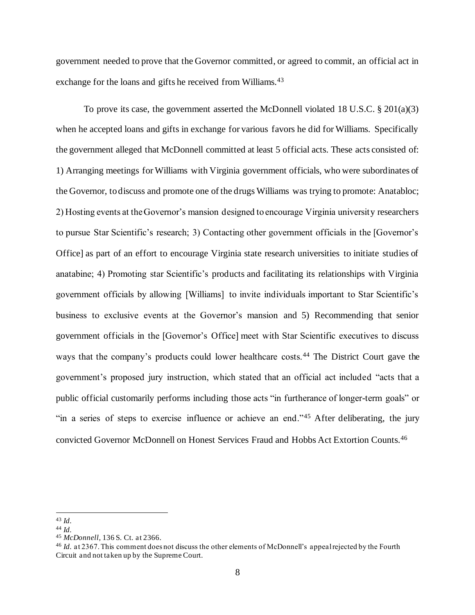government needed to prove that the Governor committed, or agreed to commit, an official act in exchange for the loans and gifts he received from Williams.<sup>43</sup>

To prove its case, the government asserted the McDonnell violated 18 U.S.C.  $\S 201(a)(3)$ when he accepted loans and gifts in exchange for various favors he did for Williams. Specifically the government alleged that McDonnell committed at least 5 official acts. These acts consisted of: 1) Arranging meetings for Williams with Virginia government officials, who were subordinates of the Governor, to discuss and promote one of the drugs Williams was trying to promote: Anatabloc; 2) Hosting events at the Governor's mansion designed to encourage Virginia university researchers to pursue Star Scientific's research; 3) Contacting other government officials in the [Governor's Office] as part of an effort to encourage Virginia state research universities to initiate studies of anatabine; 4) Promoting star Scientific's products and facilitating its relationships with Virginia government officials by allowing [Williams] to invite individuals important to Star Scientific's business to exclusive events at the Governor's mansion and 5) Recommending that senior government officials in the [Governor's Office] meet with Star Scientific executives to discuss ways that the company's products could lower healthcare costs.<sup>44</sup> The District Court gave the government's proposed jury instruction, which stated that an official act included "acts that a public official customarily performs including those acts "in furtherance of longer-term goals" or "in a series of steps to exercise influence or achieve an end."<sup>45</sup> After deliberating, the jury convicted Governor McDonnell on Honest Services Fraud and Hobbs Act Extortion Counts.<sup>46</sup>

<sup>43</sup> *Id.*

<sup>44</sup> *Id.*

<sup>45</sup> *McDonnell,* 136 S. Ct. at 2366.

<sup>&</sup>lt;sup>46</sup> *Id.* at 2367. This comment does not discuss the other elements of McDonnell's appeal rejected by the Fourth Circuit and not taken up by the Supreme Court.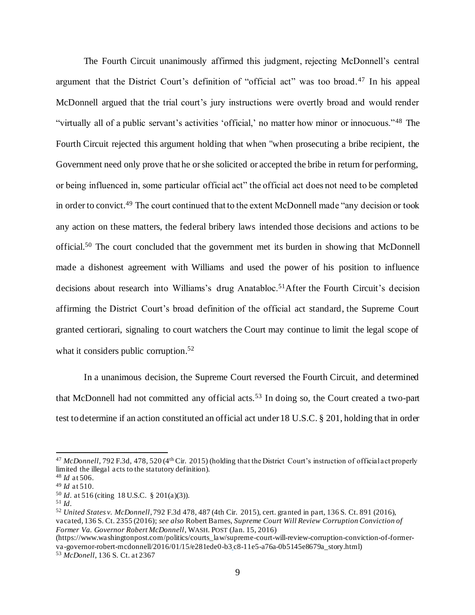The Fourth Circuit unanimously affirmed this judgment, rejecting McDonnell's central argument that the District Court's definition of "official act" was too broad.<sup>47</sup> In his appeal McDonnell argued that the trial court's jury instructions were overtly broad and would render "virtually all of a public servant's activities 'official,' no matter how minor or innocuous."<sup>48</sup> The Fourth Circuit rejected this argument holding that when "when prosecuting a bribe recipient, the Government need only prove that he or she solicited or accepted the bribe in return for performing, or being influenced in, some particular official act" the official act does not need to be completed in order to convict.<sup>49</sup> The court continued that to the extent McDonnell made "any decision or took any action on these matters, the federal bribery laws intended those decisions and actions to be official.<sup>50</sup> The court concluded that the government met its burden in showing that McDonnell made a dishonest agreement with Williams and used the power of his position to influence decisions about research into Williams's drug Anatabloc.<sup>51</sup>After the Fourth Circuit's decision affirming the District Court's broad definition of the official act standard, the Supreme Court granted certiorari, signaling to court watchers the Court may continue to limit the legal scope of what it considers public corruption.<sup>52</sup>

In a unanimous decision, the Supreme Court reversed the Fourth Circuit, and determined that McDonnell had not committed any official acts.<sup>53</sup> In doing so, the Court created a two-part test to determine if an action constituted an official act under 18 U.S.C. § 201, holding that in order

<sup>52</sup> *United States v. McDonnell*, 792 F.3d 478, 487 (4th Cir. 2015), cert. granted in part, 136 S. Ct. 891 (2016), vacated, 136 S. Ct. 2355 (2016); *see also* Robert Barnes, *Supreme Court Will Review Corruption Conviction of Former Va. Governor Robert McDonnell*, WASH. POST (Jan. 15, 2016)

<sup>&</sup>lt;sup>47</sup> McDonnell, 792 F.3d, 478, 520 (4<sup>th</sup> Cir. 2015) (holding that the District Court's instruction of official act properly limited the illegal acts to the statutory definition).

<sup>48</sup> *Id* at 506.

<sup>49</sup> *Id* at 510.

<sup>50</sup> *Id*. at 516 (citing 18 U.S.C. § 201(a)(3)).

<sup>51</sup> *Id*.

<sup>(</sup>https://www.washingtonpost.com/politics/courts\_law/supreme-court-will-review-corruption-conviction-of-formerva-governor-robert-mcdonnell/2016/01/15/e281ede0-b3 c8-11e5-a76a-0b5145e8679a\_story.html) <sup>53</sup> *McDonell*, 136 S. Ct. at 2367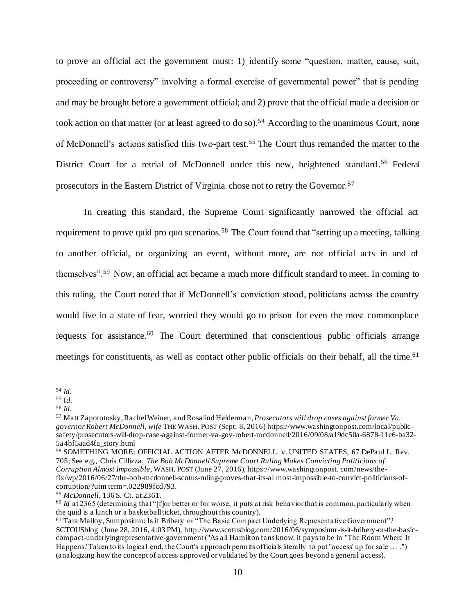to prove an official act the government must: 1) identify some "question, matter, cause, suit, proceeding or controversy" involving a formal exercise of governmental power" that is pending and may be brought before a government official; and 2) prove that the official made a decision or took action on that matter (or at least agreed to do so).<sup>54</sup> According to the unanimous Court, none of McDonnell's actions satisfied this two-part test.<sup>55</sup> The Court thus remanded the matter to the District Court for a retrial of McDonnell under this new, heightened standard.<sup>56</sup> Federal prosecutors in the Eastern District of Virginia chose not to retry the Governor.<sup>57</sup>

In creating this standard, the Supreme Court significantly narrowed the official act requirement to prove quid pro quo scenarios.<sup>58</sup> The Court found that "setting up a meeting, talking to another official, or organizing an event, without more, are not official acts in and of themselves".<sup>59</sup> Now, an official act became a much more difficult standard to meet. In coming to this ruling, the Court noted that if McDonnell's conviction stood, politicians across the country would live in a state of fear, worried they would go to prison for even the most commonplace requests for assistance.<sup>60</sup> The Court determined that conscientious public officials arrange meetings for constituents, as well as contact other public officials on their behalf, all the time.<sup>61</sup>

<sup>54</sup> *Id.*

<sup>55</sup> I*d.*

<sup>56</sup> *Id.*

<sup>57</sup> Matt Zapototosky, Rachel Weiner, and Rosalind Helderman, *Prosecutors will drop cases against former Va. governor Robert McDonnell, wife* THE WASH. POST (Sept. 8, 2016) https://www.washingtonpost.com/local/publicsafety/prosecutors-will-drop-case-against-former-va-gov-robert-mcdonnell/2016/09/08/a19dc50a-6878-11e6-ba32- 5a4bf5aad4fa\_story.html

<sup>58</sup> SOMETHING MORE: OFFICIAL ACTION AFTER McDONNELL v. UNITED STATES, 67 DePaul L. Rev. 705; See e.g., Chris Cillizza, *The Bob McDonnell Supreme Court Ruling Makes Convicting Politicians of Corruption Almost Impossible*, WASH. POST (June 27, 2016), https://www.washingtonpost. com/news/thefix/wp/2016/06/27/the-bob-mcdonnell-scotus-ruling-proves-that-its-al most-impossible-to-convict-politicians-ofcorruption/?utm term=.022989fcd793.

<sup>59</sup> *McDonnell*, 136 S. Ct. at 2361.

<sup>&</sup>lt;sup>60</sup> *Id* at 2365 (determining that "[f]or better or for worse, it puts at risk behavior that is common, particularly when the quid is a lunch or a basketball ticket, throughout this country).

<sup>&</sup>lt;sup>61</sup> Tara Malloy, Sumposium: Is it Bribery or "The Basic Compact Underlying Representative Government"? SCTOUSblog (June 28, 2016, 4:03 PM), http://www.scotusblog.com/2016/06/symposium -is-it-bribery-or-the-basiccompact-underlyingrepresentative-government ("As all Hamilton fans know, it pays to be in "The Room Where It Happens.' Taken to its logical end, the Court's approach permits officials literally to put "access' up for sale … .") (analogizing how the concept of access approved or validated by the Court goes beyond a general access).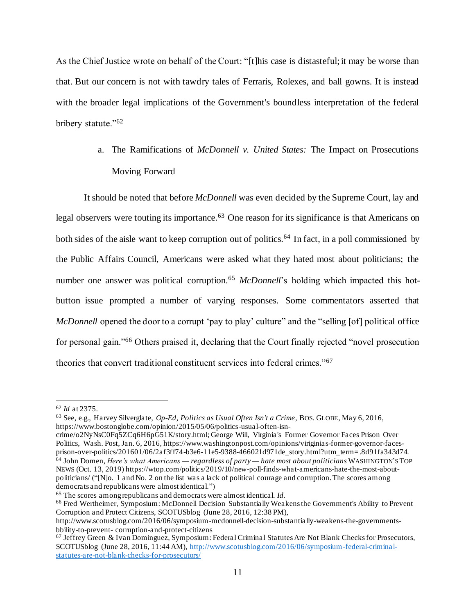As the Chief Justice wrote on behalf of the Court: "[t]his case is distasteful; it may be worse than that. But our concern is not with tawdry tales of Ferraris, Rolexes, and ball gowns. It is instead with the broader legal implications of the Government's boundless interpretation of the federal bribery statute."<sup>62</sup>

> a. The Ramifications of *McDonnell v. United States:* The Impact on Prosecutions Moving Forward

It should be noted that before *McDonnell* was even decided by the Supreme Court, lay and legal observers were touting its importance.<sup>63</sup> One reason for its significance is that Americans on both sides of the aisle want to keep corruption out of politics.<sup>64</sup> In fact, in a poll commissioned by the Public Affairs Council, Americans were asked what they hated most about politicians; the number one answer was political corruption.<sup>65</sup> *McDonnell*'s holding which impacted this hotbutton issue prompted a number of varying responses. Some commentators asserted that *McDonnell* opened the door to a corrupt 'pay to play' culture" and the "selling [of] political office for personal gain."<sup>66</sup> Others praised it, declaring that the Court finally rejected "novel prosecution theories that convert traditional constituent services into federal crimes."<sup>67</sup>

<sup>62</sup> *Id* at 2375.

<sup>63</sup> See, e.g., Harvey Silverglate, *Op-Ed, Politics as Usual Often Isn't a Crime*, BOS. GLOBE, May 6, 2016, https://www.bostonglobe.com/opinion/2015/05/06/politics-usual-often-isn-

crime/o2NyNsC0Fq5ZCq6H6pG51K/story.html; George Will, Virginia's Former Governor Faces Prison Over Politics, Wash. Post, Jan. 6, 2016, https://www.washingtonpost.com/opinions/viriginias-former-governor-facesprison-over-politics/201601/06/2af3ff74-b3e6-11e5-9388-466021d971de\_story.html?utm\_term= .8d91fa343d74. <sup>64</sup> John Domen, *Here's what Americans — regardless of party — hate most about politicians* WASHINGTON'S TOP NEWS (Oct. 13, 2019) https://wtop.com/politics/2019/10/new-poll-finds-what-americans-hate-the-most-aboutpoliticians/ ("[N]o. 1 and No. 2 on the list was a lack of political courage and corruption. The scores among democrats and republicans were almost identical.")

<sup>65</sup> The scores among republicans and democrats were almost identical. *Id.*

<sup>66</sup> Fred Wertheimer, Symposium: McDonnell Decision Substantially Weakens the Government's Ability to Prevent Corruption and Protect Citizens, SCOTUSblog (June 28, 2016, 12:38 PM),

http://www.scotusblog.com/2016/06/symposium-mcdonnell-decision-substantially-weakens-the-governmentsbbility-to-prevent- corruption-and-protect-citizens

<sup>67</sup> Jeffrey Green & Ivan Dominguez, Symposium: Federal Criminal Statutes Are Not Blank Checks for Prosecutors, SCOTUSblog (June 28, 2016, 11:44 AM), http://www.scotusblog.com/2016/06/symposium-federal-criminalstatutes-are-not-blank-checks-for-prosecutors/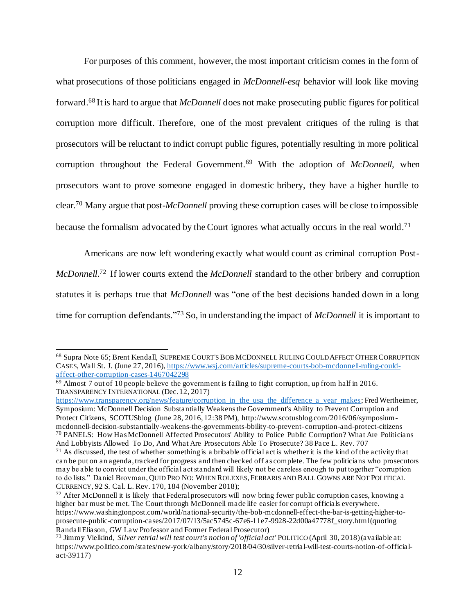For purposes of this comment, however, the most important criticism comes in the form of what prosecutions of those politicians engaged in *McDonnell-esq* behavior will look like moving forward.<sup>68</sup> It is hard to argue that *McDonnell* does not make prosecuting public figures for political corruption more difficult. Therefore, one of the most prevalent critiques of the ruling is that prosecutors will be reluctant to indict corrupt public figures, potentially resulting in more political corruption throughout the Federal Government.<sup>69</sup> With the adoption of *McDonnell*, when prosecutors want to prove someone engaged in domestic bribery, they have a higher hurdle to clear.<sup>70</sup> Many argue that post-*McDonnell* proving these corruption cases will be close to impossible because the formalism advocated by the Court ignores what actually occurs in the real world.<sup>71</sup>

Americans are now left wondering exactly what would count as criminal corruption Post-*McDonnell*. <sup>72</sup> If lower courts extend the *McDonnell* standard to the other bribery and corruption statutes it is perhaps true that *McDonnell* was "one of the best decisions handed down in a long time for corruption defendants."<sup>73</sup> So, in understanding the impact of *McDonnell* it is important to

<sup>68</sup> Supra Note 65; Brent Kendall, SUPREME COURT'S BOB MCDONNELL RULING COULD AFFECT OTHER CORRUPTION CASES, Wall St. J. (June 27, 2016), https://www.wsj.com/articles/supreme-courts-bob-mcdonnell-ruling-couldaffect-other-corruption-cases-1467042298

 $69$  Almost 7 out of 10 people believe the government is failing to fight corruption, up from half in 2016. TRANSPARENCY INTERNATIONAL (Dec. 12, 2017)

https://www.transparency.org/news/feature/corruption\_in\_the\_usa\_the\_difference\_a\_year\_makes; Fred Wertheimer, Symposium: McDonnell Decision Substantially Weakens the Government's Ability to Prevent Corruption and Protect Citizens, SCOTUSblog (June 28, 2016, 12:38 PM), http://www.scotusblog.com/2016/06/symposiummcdonnell-decision-substantially-weakens-the-governments-bbility-to-prevent- corruption-and-protect-citizens <sup>70</sup> PANELS: How Has McDonnell Affected Prosecutors' Ability to Police Public Corruption? What Are Politicians And Lobbyists Allowed To Do, And What Are Prosecutors Able To Prosecute? 38 Pace L. Rev. 707

 $71$  As discussed, the test of whether something is a bribable official act is whether it is the kind of the activity that can be put on an agenda, tracked for progress and then checked off as complete. The few politicians who prosecutors may be able to convict under the official act standard will likely not be careless enough to put together "corruption to do lists." Daniel Brovman, QUID PRO NO: WHEN ROLEXES,FERRARIS AND BALL GOWNS ARE NOT POLITICAL CURRENCY, 92 S. Cal. L. Rev. 170, 184 (November 2018);

<sup>&</sup>lt;sup>72</sup> After McDonnell it is likely that Federal prosecutors will now bring fewer public corruption cases, knowing a higher bar must be met. The Court through McDonnell made life easier for corrupt officials everywhere. https://www.washingtonpost.com/world/national-security/the-bob-mcdonnell-effect-the-bar-is-getting-higher-toprosecute-public-corruption-cases/2017/07/13/5ac5745c-67e6-11e7-9928-22d00a47778f\_story.html (quoting Randall Eliason, GW Law Professor and Former Federal Prosecutor)

<sup>73</sup> Jimmy Vielkind, *Silver retrial will test court's notion of 'official act'* POLITICO (April 30, 2018) (available at: https://www.politico.com/states/new-york/albany/story/2018/04/30/silver-retrial-will-test-courts-notion-of-officialact-39117)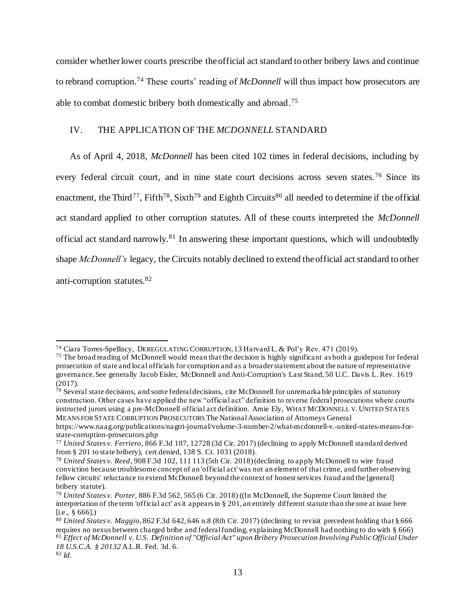consider whether lower courts prescribe the official act standard to other bribery laws and continue to rebrand corruption.<sup>74</sup> These courts' reading of *McDonnell* will thus impact how prosecutors are able to combat domestic bribery both domestically and abroad.<sup>75</sup>

# IV. THE APPLICATION OF THE *MCDONNELL* STANDARD

As of April 4, 2018, *McDonnell* has been cited 102 times in federal decisions, including by every federal circuit court, and in nine state court decisions across seven states.<sup>76</sup> Since its enactment, the Third<sup>77</sup>, Fifth<sup>78</sup>, Sixth<sup>79</sup> and Eighth Circuits<sup>80</sup> all needed to determine if the official act standard applied to other corruption statutes. All of these courts interpreted the *McDonnell* official act standard narrowly.<sup>81</sup> In answering these important questions, which will undoubtedly shape *McDonnell's* legacy, the Circuits notably declined to extend the official act standard to other anti-corruption statutes.<sup>82</sup>

<sup>74</sup> Ciara Torres-Spelliscy, DEREGULATING CORRUPTION, 13 Harvard L. & Pol'y Rev. 471 (2019).

<sup>&</sup>lt;sup>75</sup> The broad reading of McDonnell would mean that the decision is highly significant as both a guidepost for federal prosecution of state and local officials for corruption and as a broader statement about the nature of representative governance. See generally Jacob Eisler, McDonnell and Anti-Corruption's Last Stand, 50 U.C. Davis L. Rev. 1619 (2017).

<sup>&</sup>lt;sup>76</sup> Several state decisions, and some federal decisions, cite McDonnell for unremarka ble principles of statutory construction. Other cases have applied the new "official act" definition to reverse federal prosecutions where courts instructed jurors using a pre-McDonnell official act definition. Amie Ely, WHAT MCDONNELL V.UNITED STATES MEANS FOR STATE CORRUPTION PROSECUTORS The National Association of Attorneys General

https://www.naag.org/publications/nagtri-journal/volume-3-number-2/what-mcdonnell-v.-united-states-means-forstate-corruption-prosecutors.php

<sup>77</sup> *United States v. Ferriero*, 866 F.3d 107, 12728 (3d Cir. 2017) (declining to apply McDonnell standard derived from § 201 to state bribery), cert.denied, 138 S. Ct. 1031 (2018).

<sup>78</sup> *United States v. Reed*, 908 F.3d 102, 111 113 (5th Cir. 2018) (declining to apply McDonnell to wire fraud conviction because troublesome concept of an 'official act' was not an element of that crime, and further observing fellow circuits' reluctance to extend McDonnell beyond the context of honest services fraud and the [general] bribery statute).

<sup>79</sup> *United States v. Porter*, 886 F.3d 562, 565 (6 Cir. 2018) ((In McDonnell, the Supreme Court limited the interpretation of the term 'official act' as it appears in § 201, an entirely different statute than the one at issue here [i.e., § 666].)

<sup>80</sup> *United States v. Maggio*, 862 F.3d 642, 646 n.8 (8th Cir. 2017) (declining to revisit precedent holding that § 666 requires no nexus between charged bribe and federal funding, explaining McDonnell had nothing to do with § 666) <sup>81</sup> *Effect of McDonnell v. U.S. Definition of "Official Act" upon Bribery Prosecution Involving Public Official Under 18 U.S.C.A. § 20132* A.L.R. Fed. 3d. 6.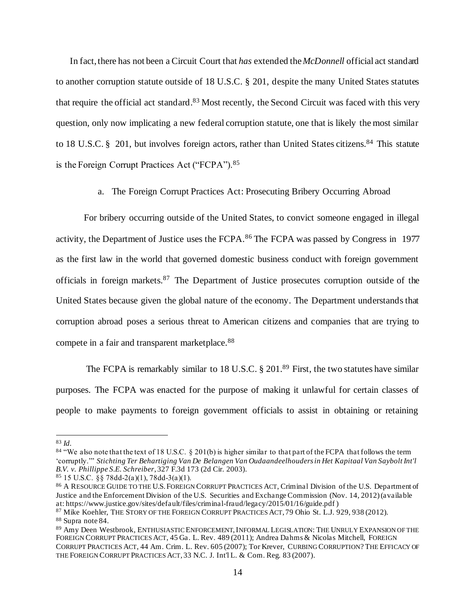In fact, there has not been a Circuit Court that *has* extended the *McDonnell* official act standard to another corruption statute outside of 18 U.S.C. § 201, despite the many United States statutes that require the official act standard.<sup>83</sup> Most recently, the Second Circuit was faced with this very question, only now implicating a new federal corruption statute, one that is likely the most similar to 18 U.S.C. § 201, but involves foreign actors, rather than United States citizens.<sup>84</sup> This statute is the Foreign Corrupt Practices Act ("FCPA").<sup>85</sup>

a. The Foreign Corrupt Practices Act: Prosecuting Bribery Occurring Abroad

For bribery occurring outside of the United States, to convict someone engaged in illegal activity, the Department of Justice uses the FCPA.<sup>86</sup> The FCPA was passed by Congress in 1977 as the first law in the world that governed domestic business conduct with foreign government officials in foreign markets.<sup>87</sup> The Department of Justice prosecutes corruption outside of the United States because given the global nature of the economy. The Department understands that corruption abroad poses a serious threat to American citizens and companies that are trying to compete in a fair and transparent marketplace.<sup>88</sup>

The FCPA is remarkably similar to 18 U.S.C. § 201.89 First, the two statutes have similar purposes. The FCPA was enacted for the purpose of making it unlawful for certain classes of people to make payments to foreign government officials to assist in obtaining or retaining

<sup>83</sup> *Id.*

<sup>&</sup>lt;sup>84</sup> "We also note that the text of 18 U.S.C. § 201(b) is higher similar to that part of the FCPA that follows the term 'corruptly.'" *Stichting Ter Behartiging Van De Belangen Van Oudaandeelhouders in Het Kapitaal Van Saybolt Int'l B.V. v. Phillippe S.E. Schreiber*, 327 F.3d 173 (2d Cir. 2003).

 $85$  15 U.S.C. §§ 78dd-2(a)(1), 78dd-3(a)(1).

<sup>86</sup> A RESOURCE GUIDE TO THE U.S. FOREIGN CORRUPT PRACTICES ACT, Criminal Division of the U.S. Department of Justice and the Enforcement Division of the U.S. Securities and Exchange Commission (Nov. 14, 2012) (available at: https://www.justice.gov/sites/default/files/criminal-fraud/legacy/2015/01/16/guide.pdf )

<sup>87</sup> Mike Koehler, THE STORY OF THE FOREIGN CORRUPT PRACTICES ACT, 79 Ohio St. L.J. 929, 938 (2012).

<sup>88</sup> Supra note 84.

<sup>89</sup> Amy Deen Westbrook, ENTHUSIASTIC ENFORCEMENT, INFORMAL LEGISLATION: THE UNRULY EXPANSION OF THE FOREIGN CORRUPT PRACTICES ACT, 45 Ga. L. Rev. 489 (2011); Andrea Dahms & Nicolas Mitchell, FOREIGN CORRUPT PRACTICES ACT, 44 Am. Crim. L. Rev. 605 (2007); Tor Krever, CURBING CORRUPTION? THE EFFICACY OF THE FOREIGN CORRUPT PRACTICES ACT*,* 33 N.C. J. Int'l L. & Com. Reg. 83 (2007).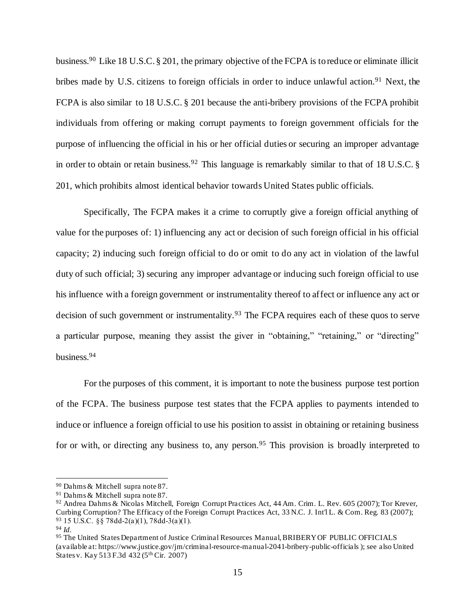business.<sup>90</sup> Like 18 U.S.C. § 201, the primary objective of the FCPA is to reduce or eliminate illicit bribes made by U.S. citizens to foreign officials in order to induce unlawful action.<sup>91</sup> Next, the FCPA is also similar to 18 U.S.C. § 201 because the anti-bribery provisions of the FCPA prohibit individuals from offering or making corrupt payments to foreign government officials for the purpose of influencing the official in his or her official duties or securing an improper advantage in order to obtain or retain business.<sup>92</sup> This language is remarkably similar to that of 18 U.S.C. § 201, which prohibits almost identical behavior towards United States public officials.

Specifically, The FCPA makes it a crime to corruptly give a foreign official anything of value for the purposes of: 1) influencing any act or decision of such foreign official in his official capacity; 2) inducing such foreign official to do or omit to do any act in violation of the lawful duty of such official; 3) securing any improper advantage or inducing such foreign official to use his influence with a foreign government or instrumentality thereof to affect or influence any act or decision of such government or instrumentality.<sup>93</sup> The FCPA requires each of these quos to serve a particular purpose, meaning they assist the giver in "obtaining," "retaining," or "directing" business.<sup>94</sup>

For the purposes of this comment, it is important to note the business purpose test portion of the FCPA. The business purpose test states that the FCPA applies to payments intended to induce or influence a foreign official to use his position to assist in obtaining or retaining business for or with, or directing any business to, any person.<sup>95</sup> This provision is broadly interpreted to

<sup>90</sup> Dahms & Mitchell supra note 87.

<sup>91</sup> Dahms & Mitchell supra note 87.

<sup>92</sup> Andrea Dahms & Nicolas Mitchell, Foreign Corrupt Practices Act, 44 Am. Crim. L. Rev. 605 (2007); Tor Krever, Curbing Corruption? The Efficacy of the Foreign Corrupt Practices Act, 33 N.C. J. Int'l L. & Com. Reg. 83 (2007); <sup>93</sup> 15 U.S.C. §§ 78dd‐2(a)(1), 78dd‐3(a)(1).

<sup>94</sup> *Id.*

<sup>95</sup> The United States Department of Justice Criminal Resources Manual, BRIBERY OF PUBLIC OFFICIALS (available at: https://www.justice.gov/jm/criminal-resource-manual-2041-bribery-public-officials ); see also United States v. Kay 513 F.3d 432 (5th Cir. 2007)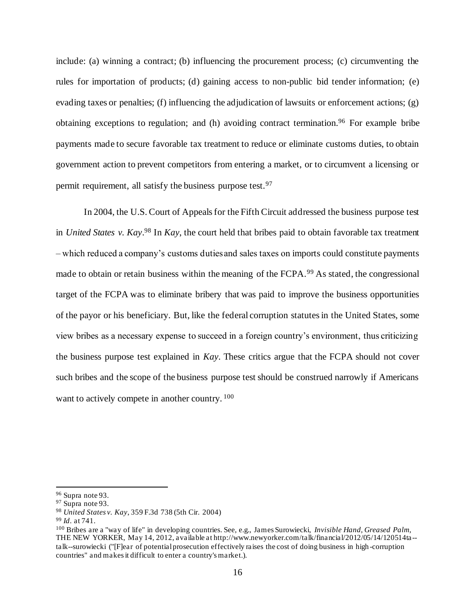include: (a) winning a contract; (b) influencing the procurement process; (c) circumventing the rules for importation of products; (d) gaining access to non-public bid tender information; (e) evading taxes or penalties; (f) influencing the adjudication of lawsuits or enforcement actions;  $(g)$ obtaining exceptions to regulation; and (h) avoiding contract termination.<sup>96</sup> For example bribe payments made to secure favorable tax treatment to reduce or eliminate customs duties, to obtain government action to prevent competitors from entering a market, or to circumvent a licensing or permit requirement, all satisfy the business purpose test.<sup>97</sup>

In 2004, the U.S. Court of Appeals for the Fifth Circuit addressed the business purpose test in *United States v. Kay*. <sup>98</sup> In *Kay*, the court held that bribes paid to obtain favorable tax treatment – which reduced a company's customs duties and sales taxes on imports could constitute payments made to obtain or retain business within the meaning of the FCPA.<sup>99</sup> As stated, the congressional target of the FCPA was to eliminate bribery that was paid to improve the business opportunities of the payor or his beneficiary. But, like the federal corruption statutes in the United States, some view bribes as a necessary expense to succeed in a foreign country's environment, thus criticizing the business purpose test explained in *Kay*. These critics argue that the FCPA should not cover such bribes and the scope of the business purpose test should be construed narrowly if Americans want to actively compete in another country.  $100$ 

<sup>96</sup> Supra note 93.

<sup>&</sup>lt;sup>97</sup> Supra note 93.

<sup>98</sup> *United States v. Kay*, 359 F.3d 738 (5th Cir. 2004)

<sup>99</sup> *Id*. at 741.

<sup>100</sup> Bribes are a "way of life" in developing countries. See, e.g., James Surowiecki, *Invisible Hand, Greased Palm*, THE NEW YORKER, May 14, 2012, available at http://www.newyorker.com/talk/financial/2012/05/14/120514ta - talk--surowiecki ("[F]ear of potential prosecution effectively raises the cost of doing business in high -corruption countries" and makes it difficult to enter a country's market.).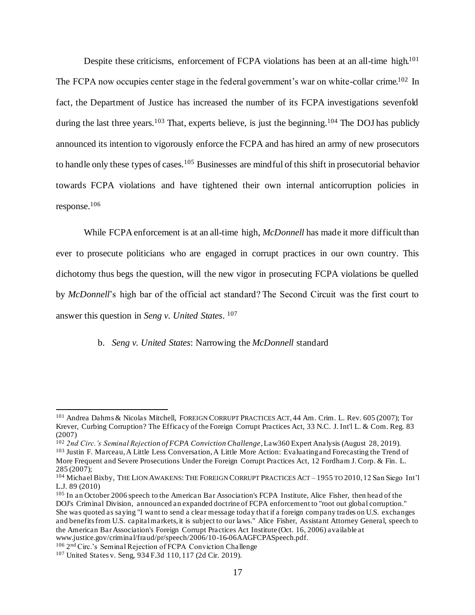Despite these criticisms, enforcement of FCPA violations has been at an all-time high.<sup>101</sup> The FCPA now occupies center stage in the federal government's war on white-collar crime.<sup>102</sup> In fact, the Department of Justice has increased the number of its FCPA investigations sevenfold during the last three years.<sup>103</sup> That, experts believe, is just the beginning.<sup>104</sup> The DOJ has publicly announced its intention to vigorously enforce the FCPA and has hired an army of new prosecutors to handle only these types of cases.<sup>105</sup> Businesses are mindful of this shift in prosecutorial behavior towards FCPA violations and have tightened their own internal anticorruption policies in response.<sup>106</sup>

While FCPA enforcement is at an all-time high, *McDonnell* has made it more difficult than ever to prosecute politicians who are engaged in corrupt practices in our own country. This dichotomy thus begs the question, will the new vigor in prosecuting FCPA violations be quelled by *McDonnell*'s high bar of the official act standard? The Second Circuit was the first court to answer this question in *Seng v. United States*. 107

b. *Seng v. United States*: Narrowing the *McDonnell* standard

<sup>101</sup> Andrea Dahms & Nicolas Mitchell, FOREIGN CORRUPT PRACTICES ACT, 44 Am. Crim. L. Rev. 605 (2007); Tor Krever, Curbing Corruption? The Efficacy of the Foreign Corrupt Practices Act, 33 N.C. J. Int'l L. & Com. Reg. 83 (2007)

<sup>102</sup> *2nd Circ.'s Seminal Rejection of FCPA Conviction Challenge*, Law360 Expert Analysis (August 28, 2019). <sup>103</sup> Justin F. Marceau, A Little Less Conversation, A Little More Action: Evaluating and Forecasting the Trend of More Frequent and Severe Prosecutions Under the Foreign Corrupt Practices Act, 12 Fordham J. Corp. & Fin. L. 285 (2007);

<sup>104</sup> Michael Bixby, THE LION AWAKENS: THE FOREIGN CORRUPT PRACTICES ACT – 1955 TO 2010, 12 San Siego Int'l L.J. 89 (2010)

<sup>&</sup>lt;sup>105</sup> In an October 2006 speech to the American Bar Association's FCPA Institute, Alice Fisher, then head of the DOJ's Criminal Division, announced an expanded doctrine of FCPA enforcement to "root out global corruption." She was quoted as saying "I want to send a clear message today that if a foreign company trades on U.S. exchanges and benefits from U.S. capital markets, it is subject to our laws." Alice Fisher, Assistant Attorney General, speech to the American Bar Association's Foreign Corrupt Practices Act Institute (Oct. 16, 2006) available at www.justice.gov/criminal/fraud/pr/speech/2006/10-16-06AAGFCPASpeech.pdf.

<sup>106</sup> 2 nd Circ.'s Seminal Rejection of FCPA Conviction Challenge

<sup>107</sup> United States v. Seng, 934 F.3d 110, 117 (2d Cir. 2019).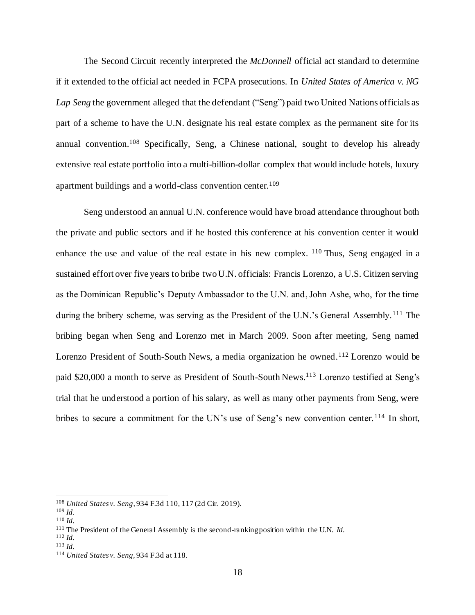The Second Circuit recently interpreted the *McDonnell* official act standard to determine if it extended to the official act needed in FCPA prosecutions. In *United States of America v. NG Lap Seng* the government alleged that the defendant ("Seng") paid two United Nations officials as part of a scheme to have the U.N. designate his real estate complex as the permanent site for its annual convention.<sup>108</sup> Specifically, Seng, a Chinese national, sought to develop his already extensive real estate portfolio into a multi-billion-dollar complex that would include hotels, luxury apartment buildings and a world-class convention center.<sup>109</sup>

Seng understood an annual U.N. conference would have broad attendance throughout both the private and public sectors and if he hosted this conference at his convention center it would enhance the use and value of the real estate in his new complex.  $110$  Thus, Seng engaged in a sustained effort over five years to bribe two U.N. officials: Francis Lorenzo, a U.S. Citizen serving as the Dominican Republic's Deputy Ambassador to the U.N. and, John Ashe, who, for the time during the bribery scheme, was serving as the President of the U.N.'s General Assembly.<sup>111</sup> The bribing began when Seng and Lorenzo met in March 2009. Soon after meeting, Seng named Lorenzo President of South-South News, a media organization he owned.<sup>112</sup> Lorenzo would be paid \$20,000 a month to serve as President of South-South News.<sup>113</sup> Lorenzo testified at Seng's trial that he understood a portion of his salary, as well as many other payments from Seng, were bribes to secure a commitment for the UN's use of Seng's new convention center.<sup>114</sup> In short,

<sup>108</sup> *United States v. Seng*, 934 F.3d 110, 117 (2d Cir. 2019).

<sup>109</sup> *Id.*

<sup>110</sup> *Id.*

<sup>111</sup> The President of the General Assembly is the second-ranking position within the U.N. *Id.*

<sup>112</sup> *Id.*

<sup>113</sup> *Id.*

<sup>114</sup> *United States v. Seng,* 934 F.3d at 118.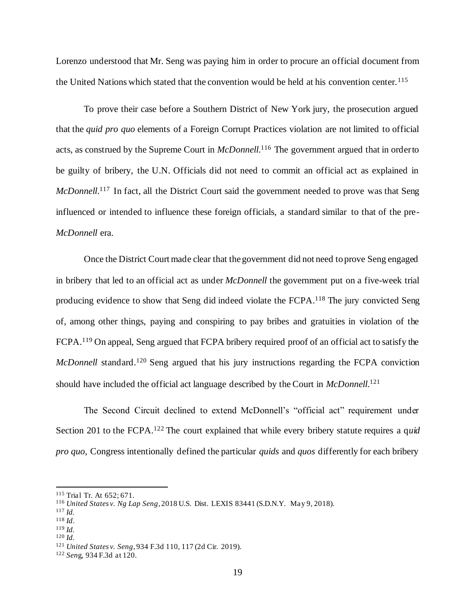Lorenzo understood that Mr. Seng was paying him in order to procure an official document from the United Nations which stated that the convention would be held at his convention center.<sup>115</sup>

To prove their case before a Southern District of New York jury, the prosecution argued that the *quid pro quo* elements of a Foreign Corrupt Practices violation are not limited to official acts, as construed by the Supreme Court in *McDonnell*. <sup>116</sup> The government argued that in order to be guilty of bribery, the U.N. Officials did not need to commit an official act as explained in *McDonnell*.<sup>117</sup> In fact, all the District Court said the government needed to prove was that Seng influenced or intended to influence these foreign officials, a standard similar to that of the pre-*McDonnell* era.

Once the District Court made clear that the government did not need to prove Seng engaged in bribery that led to an official act as under *McDonnell* the government put on a five-week trial producing evidence to show that Seng did indeed violate the FCPA.<sup>118</sup> The jury convicted Seng of, among other things, paying and conspiring to pay bribes and gratuities in violation of the FCPA.<sup>119</sup> On appeal, Seng argued that FCPA bribery required proof of an official act to satisfy the *McDonnell* standard.<sup>120</sup> Seng argued that his jury instructions regarding the FCPA conviction should have included the official act language described by the Court in *McDonnell*. 121

The Second Circuit declined to extend McDonnell's "official act" requirement under Section 201 to the FCPA.<sup>122</sup> The court explained that while every bribery statute requires a quid *pro quo*, Congress intentionally defined the particular *quids* and *quos* differently for each bribery

<sup>115</sup> Trial Tr. At 652; 671.

<sup>116</sup> *United States v. Ng Lap Seng*, 2018 U.S. Dist. LEXIS 83441 (S.D.N.Y. May 9, 2018).

<sup>117</sup> *Id.*

<sup>118</sup> *Id*.

<sup>119</sup> *Id.*

<sup>121</sup> *United States v. Seng*, 934 F.3d 110, 117 (2d Cir. 2019).

<sup>122</sup> *Sen*g, 934 F.3d at 120.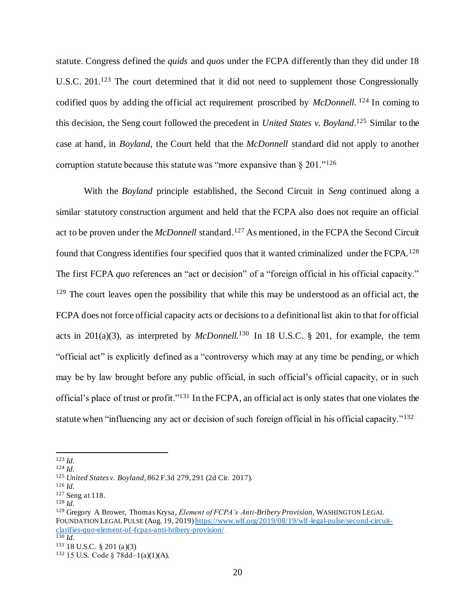statute. Congress defined the *quids* and *quos* under the FCPA differently than they did under 18 U.S.C. 201.<sup>123</sup> The court determined that it did not need to supplement those Congressionally codified quos by adding the official act requirement proscribed by *McDonnell*. <sup>124</sup> In coming to this decision, the Seng court followed the precedent in *United States v. Boyland*. <sup>125</sup> Similar to the case at hand, in *Boyland*, the Court held that the *McDonnell* standard did not apply to another corruption statute because this statute was "more expansive than  $\S 201$ ."<sup>126</sup>

With the *Boyland* principle established, the Second Circuit in *Seng* continued along a similar statutory construction argument and held that the FCPA also does not require an official act to be proven under the *McDonnell* standard.<sup>127</sup> As mentioned, in the FCPA the Second Circuit found that Congress identifies four specified quos that it wanted criminalized under the FCPA.<sup>128</sup> The first FCPA *quo* references an "act or decision" of a "foreign official in his official capacity." <sup>129</sup> The court leaves open the possibility that while this may be understood as an official act, the FCPA does not force official capacity acts or decisions to a definitional list akin to that for official acts in 201(a)(3), as interpreted by *McDonnell.*<sup>130</sup> In 18 U.S.C. § 201, for example, the term "official act" is explicitly defined as a "controversy which may at any time be pending, or which may be by law brought before any public official, in such official's official capacity, or in such official's place of trust or profit."<sup>131</sup> In the FCPA, an official act is only states that one violates the statute when "influencing any act or decision of such foreign official in his official capacity."<sup>132</sup>

<sup>123</sup> *Id.*

<sup>124</sup> *Id.*

<sup>125</sup> *United States v. Boyland*, 862 F.3d 279, 291 (2d Cir. 2017).

<sup>126</sup> *Id.*

<sup>127</sup> Seng at 118.

<sup>128</sup> *Id.*

<sup>129</sup> Gregory A Brower, Thomas Krysa, *Element of FCPA's Anti-Bribery Provision,* WASHINGTON LEGAL FOUNDATION LEGAL PULSE (Aug. 19, 2019) https://www.wlf.org/2019/08/19/wlf-legal-pulse/second-circuitclarifies-quo-element-of-fcpas-anti-bribery-provision/  $130$  *Id.* 

<sup>131</sup> 18 U.S.C. § 201 (a)(3)

<sup>132</sup> 15 U.S. Code § 78dd–1(a)(1)(A).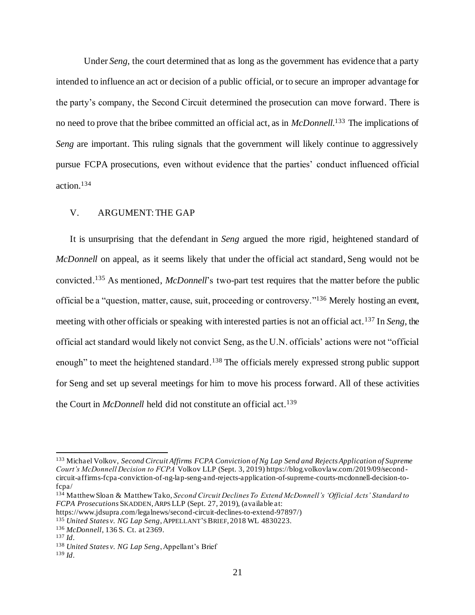Under *Seng*, the court determined that as long as the government has evidence that a party intended to influence an act or decision of a public official, or to secure an improper advantage for the party's company, the Second Circuit determined the prosecution can move forward. There is no need to prove that the bribee committed an official act, as in *McDonnell*. <sup>133</sup> The implications of *Seng* are important. This ruling signals that the government will likely continue to aggressively pursue FCPA prosecutions, even without evidence that the parties' conduct influenced official action. 134

### V. ARGUMENT: THE GAP

It is unsurprising that the defendant in *Seng* argued the more rigid, heightened standard of *McDonnell* on appeal, as it seems likely that under the official act standard, Seng would not be convicted.<sup>135</sup> As mentioned, *McDonnell*'s two-part test requires that the matter before the public official be a "question, matter, cause, suit, proceeding or controversy."<sup>136</sup> Merely hosting an event, meeting with other officials or speaking with interested parties is not an official act.<sup>137</sup> In *Seng*, the official act standard would likely not convict Seng, as the U.N. officials' actions were not "official enough" to meet the heightened standard.<sup>138</sup> The officials merely expressed strong public support for Seng and set up several meetings for him to move his process forward. All of these activities the Court in *McDonnell* held did not constitute an official act.<sup>139</sup>

- <sup>135</sup> *United States v. NG Lap Seng*, APPELLANT'S BRIEF, 2018 WL 4830223.
- <sup>136</sup> *McDonnell*, 136 S. Ct. at 2369.

<sup>133</sup> Michael Volkov, *Second Circuit Affirms FCPA Conviction of Ng Lap Send and Rejects Application of Supreme Court's McDonnell Decision to FCPA* Volkov LLP (Sept. 3, 2019) https://blog.volkovlaw.com/2019/09/second circuit-affirms-fcpa-conviction-of-ng-lap-seng-and-rejects-application-of-supreme-courts-mcdonnell-decision-tofcpa/

<sup>134</sup> Matthew Sloan & Matthew Tako, *Second Circuit Declines To Extend McDonnell's 'Official Acts' Standard to FCPA Prosecutions* SKADDEN,ARPS LLP (Sept. 27, 2019), (available at:

https://www.jdsupra.com/legalnews/second-circuit-declines-to-extend-97897/)

<sup>137</sup> *Id*.

<sup>138</sup> *United States v. NG Lap Seng*, Appellant's Brief

<sup>139</sup> *Id*.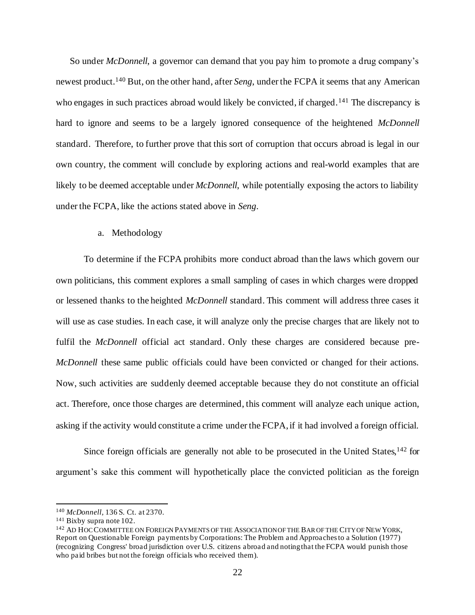So under *McDonnell*, a governor can demand that you pay him to promote a drug company's newest product.<sup>140</sup> But, on the other hand, after *Seng*, under the FCPA it seems that any American who engages in such practices abroad would likely be convicted, if charged.<sup>141</sup> The discrepancy is hard to ignore and seems to be a largely ignored consequence of the heightened *McDonnell*  standard. Therefore, to further prove that this sort of corruption that occurs abroad is legal in our own country, the comment will conclude by exploring actions and real-world examples that are likely to be deemed acceptable under *McDonnell*, while potentially exposing the actors to liability under the FCPA, like the actions stated above in *Seng*.

### a. Methodology

To determine if the FCPA prohibits more conduct abroad than the laws which govern our own politicians, this comment explores a small sampling of cases in which charges were dropped or lessened thanks to the heighted *McDonnell* standard. This comment will address three cases it will use as case studies. In each case, it will analyze only the precise charges that are likely not to fulfil the *McDonnell* official act standard. Only these charges are considered because pre-*McDonnell* these same public officials could have been convicted or changed for their actions. Now, such activities are suddenly deemed acceptable because they do not constitute an official act. Therefore, once those charges are determined, this comment will analyze each unique action, asking if the activity would constitute a crime under the FCPA, if it had involved a foreign official.

Since foreign officials are generally not able to be prosecuted in the United States, <sup>142</sup> for argument's sake this comment will hypothetically place the convicted politician as the foreign

<sup>140</sup> *McDonnell,* 136 S. Ct. at 2370.

<sup>141</sup> Bixby supra note 102.

<sup>142</sup> AD HOC COMMITTEE ON FOREIGN PAYMENTS OF THE ASSOCIATION OF THE BAR OF THE CITY OF NEW YORK, Report on Questionable Foreign payments by Corporations: The Problem and Approaches to a Solution (1977) (recognizing Congress' broad jurisdiction over U.S. citizens abroad and noting that the FCPA would punish those who paid bribes but not the foreign officials who received them).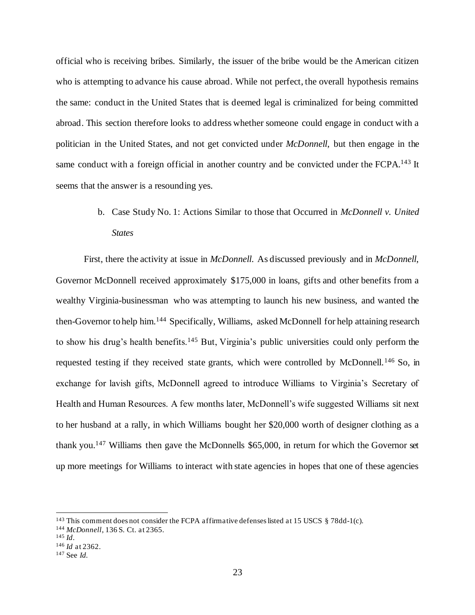official who is receiving bribes. Similarly, the issuer of the bribe would be the American citizen who is attempting to advance his cause abroad. While not perfect, the overall hypothesis remains the same: conduct in the United States that is deemed legal is criminalized for being committed abroad. This section therefore looks to address whether someone could engage in conduct with a politician in the United States, and not get convicted under *McDonnell*, but then engage in the same conduct with a foreign official in another country and be convicted under the FCPA.<sup>143</sup> It seems that the answer is a resounding yes.

> b. Case Study No. 1: Actions Similar to those that Occurred in *McDonnell v. United States*

First, there the activity at issue in *McDonnell*. As discussed previously and in *McDonnell*, Governor McDonnell received approximately \$175,000 in loans, gifts and other benefits from a wealthy Virginia-businessman who was attempting to launch his new business, and wanted the then-Governor to help him.<sup>144</sup> Specifically, Williams, asked McDonnell for help attaining research to show his drug's health benefits.<sup>145</sup> But, Virginia's public universities could only perform the requested testing if they received state grants, which were controlled by McDonnell.<sup>146</sup> So, in exchange for lavish gifts, McDonnell agreed to introduce Williams to Virginia's Secretary of Health and Human Resources. A few months later, McDonnell's wife suggested Williams sit next to her husband at a rally, in which Williams bought her \$20,000 worth of designer clothing as a thank you.<sup>147</sup> Williams then gave the McDonnells \$65,000, in return for which the Governor set up more meetings for Williams to interact with state agencies in hopes that one of these agencies

<sup>&</sup>lt;sup>143</sup> This comment does not consider the FCPA affirmative defenses listed at 15 USCS § 78dd-1(c).

<sup>144</sup> *McDonnell*, 136 S. Ct. at 2365.

<sup>145</sup> *Id*.

<sup>146</sup> *Id* at 2362.

<sup>147</sup> See *Id.*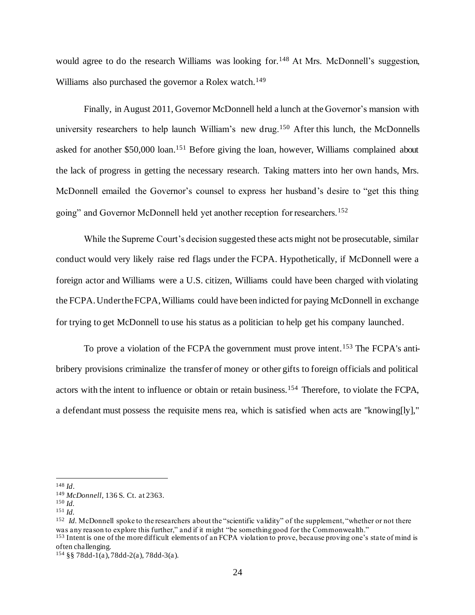would agree to do the research Williams was looking for.<sup>148</sup> At Mrs. McDonnell's suggestion, Williams also purchased the governor a Rolex watch.<sup>149</sup>

Finally, in August 2011, Governor McDonnell held a lunch at the Governor's mansion with university researchers to help launch William's new drug.<sup>150</sup> After this lunch, the McDonnells asked for another \$50,000 loan.<sup>151</sup> Before giving the loan, however, Williams complained about the lack of progress in getting the necessary research. Taking matters into her own hands, Mrs. McDonnell emailed the Governor's counsel to express her husband's desire to "get this thing going" and Governor McDonnell held yet another reception for researchers.<sup>152</sup>

While the Supreme Court's decision suggested these acts might not be prosecutable, similar conduct would very likely raise red flags under the FCPA. Hypothetically, if McDonnell were a foreign actor and Williams were a U.S. citizen, Williams could have been charged with violating the FCPA. Under the FCPA, Williams could have been indicted for paying McDonnell in exchange for trying to get McDonnell to use his status as a politician to help get his company launched.

To prove a violation of the FCPA the government must prove intent.<sup>153</sup> The FCPA's antibribery provisions criminalize the transfer of money or other gifts to foreign officials and political actors with the intent to influence or obtain or retain business.<sup>154</sup> Therefore, to violate the FCPA, a defendant must possess the requisite mens rea, which is satisfied when acts are "knowing[ly],"

<sup>152</sup> *Id.* McDonnell spoke to the researchers about the "scientific validity" of the supplement, "whether or not there was any reason to explore this further," and if it might "be something good for the Commonwealth."

<sup>153</sup> Intent is one of the more difficult elements of an FCPA violation to prove, because proving one's state of mind is often challenging.

<sup>148</sup> *Id*.

<sup>149</sup> *McDonnell,* 136 S. Ct. at 2363.

<sup>150</sup> *Id.*

<sup>151</sup> *Id.*

 $154 \&$  78dd-1(a), 78dd-2(a), 78dd-3(a).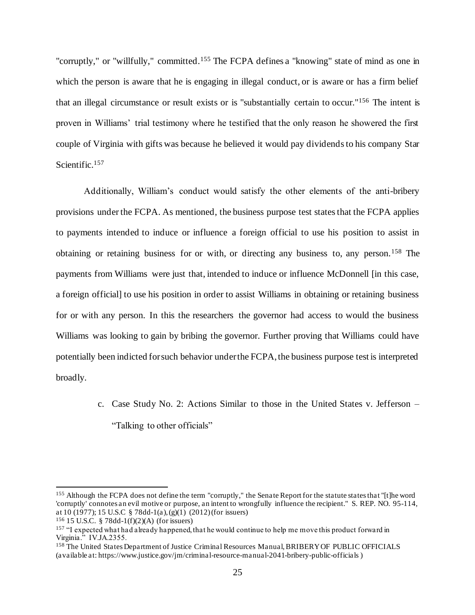"corruptly," or "willfully," committed.<sup>155</sup> The FCPA defines a "knowing" state of mind as one in which the person is aware that he is engaging in illegal conduct, or is aware or has a firm belief that an illegal circumstance or result exists or is "substantially certain to occur."<sup>156</sup> The intent is proven in Williams' trial testimony where he testified that the only reason he showered the first couple of Virginia with gifts was because he believed it would pay dividends to his company Star Scientific.<sup>157</sup>

Additionally, William's conduct would satisfy the other elements of the anti-bribery provisions under the FCPA. As mentioned, the business purpose test states that the FCPA applies to payments intended to induce or influence a foreign official to use his position to assist in obtaining or retaining business for or with, or directing any business to, any person.<sup>158</sup> The payments from Williams were just that, intended to induce or influence McDonnell [in this case, a foreign official] to use his position in order to assist Williams in obtaining or retaining business for or with any person. In this the researchers the governor had access to would the business Williams was looking to gain by bribing the governor. Further proving that Williams could have potentially been indicted for such behavior under the FCPA, the business purpose test is interpreted broadly.

> c. Case Study No. 2: Actions Similar to those in the United States v. Jefferson – "Talking to other officials"

<sup>155</sup> Although the FCPA does not define the term "corruptly," the Senate Report for the statute states that "[t]he word 'corruptly' connotes an evil motive or purpose, an intent to wrongfully influence the recipient." S. REP. NO. 95-114, at 10 (1977); 15 U.S.C § 78dd-1(a), (g)(1) (2012) (for issuers)

<sup>156</sup> 15 U.S.C. § 78dd-1(f)(2)(A) (for issuers)

<sup>&</sup>lt;sup>157</sup> "I expected what had already happened, that he would continue to help me move this product forward in Virginia." IV.JA.2355.

<sup>&</sup>lt;sup>158</sup> The United States Department of Justice Criminal Resources Manual, BRIBERY OF PUBLIC OFFICIALS (available at: https://www.justice.gov/jm/criminal-resource-manual-2041-bribery-public-officials )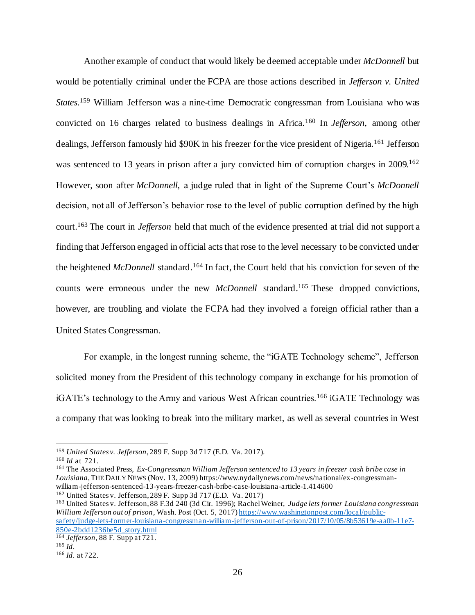Another example of conduct that would likely be deemed acceptable under *McDonnell* but would be potentially criminal under the FCPA are those actions described in *Jefferson v. United States*. <sup>159</sup> William Jefferson was a nine-time Democratic congressman from Louisiana who was convicted on 16 charges related to business dealings in Africa.<sup>160</sup> In *Jefferson*, among other dealings, Jefferson famously hid \$90K in his freezer for the vice president of Nigeria.<sup>161</sup> Jefferson was sentenced to 13 years in prison after a jury convicted him of corruption charges in 2009.<sup>162</sup> However, soon after *McDonnell,* a judge ruled that in light of the Supreme Court's *McDonnell* decision, not all of Jefferson's behavior rose to the level of public corruption defined by the high court.<sup>163</sup> The court in *Jefferson* held that much of the evidence presented at trial did not support a finding that Jefferson engaged in official acts that rose to the level necessary to be convicted under the heightened *McDonnell* standard.<sup>164</sup> In fact, the Court held that his conviction for seven of the counts were erroneous under the new *McDonnell* standard.<sup>165</sup> These dropped convictions, however, are troubling and violate the FCPA had they involved a foreign official rather than a United States Congressman.

For example, in the longest running scheme, the "iGATE Technology scheme", Jefferson solicited money from the President of this technology company in exchange for his promotion of iGATE's technology to the Army and various West African countries.<sup>166</sup> iGATE Technology was a company that was looking to break into the military market, as well as several countries in West

<sup>161</sup> The Associated Press, *Ex-Congressman William Jefferson sentenced to 13 years in freezer cash bribe case in Louisiana*, THE DAILY NEWS (Nov. 13, 2009) https://www.nydailynews.com/news/national/ex-congressmanwilliam-jefferson-sentenced-13-years-freezer-cash-bribe-case-louisiana-article-1.414600 <sup>162</sup> United States v. Jefferson, 289 F. Supp 3d 717 (E.D. Va. 2017)

<sup>163</sup> United States v. Jefferson, 88 F.3d 240 (3d Cir. 1996); Rachel Weiner, *Judge lets former Louisiana congressman William Jefferson out of prison*, Wash. Post (Oct. 5, 2017) https://www.washingtonpost.com/local/publicsafety/judge-lets-former-louisiana-congressman-william-jefferson-out-of-prison/2017/10/05/8b53619e-aa0b-11e7- 850e-2bdd1236be5d\_story.html

<sup>159</sup> *United States v. Jefferson*, 289 F. Supp 3d 717 (E.D. Va. 2017).

<sup>160</sup> *Id* at 721.

<sup>164</sup> *Jefferson*, 88 F. Supp at 721. <sup>165</sup> *Id*.

<sup>166</sup> *Id*. at 722.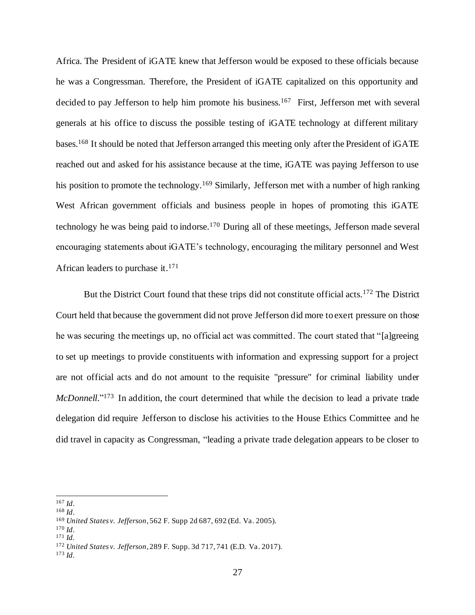Africa. The President of iGATE knew that Jefferson would be exposed to these officials because he was a Congressman. Therefore, the President of iGATE capitalized on this opportunity and decided to pay Jefferson to help him promote his business.<sup>167</sup> First, Jefferson met with several generals at his office to discuss the possible testing of iGATE technology at different military bases.<sup>168</sup> It should be noted that Jefferson arranged this meeting only after the President of iGATE reached out and asked for his assistance because at the time, iGATE was paying Jefferson to use his position to promote the technology.<sup>169</sup> Similarly, Jefferson met with a number of high ranking West African government officials and business people in hopes of promoting this iGATE technology he was being paid to indorse.<sup>170</sup> During all of these meetings, Jefferson made several encouraging statements about iGATE's technology, encouraging the military personnel and West African leaders to purchase it.<sup>171</sup>

But the District Court found that these trips did not constitute official acts.<sup>172</sup> The District Court held that because the government did not prove Jefferson did more to exert pressure on those he was securing the meetings up, no official act was committed. The court stated that "[a]greeing to set up meetings to provide constituents with information and expressing support for a project are not official acts and do not amount to the requisite "pressure" for criminal liability under McDonnell."<sup>173</sup> In addition, the court determined that while the decision to lead a private trade delegation did require Jefferson to disclose his activities to the House Ethics Committee and he did travel in capacity as Congressman, "leading a private trade delegation appears to be closer to

<sup>167</sup> *Id*.

<sup>168</sup> *Id*.

<sup>169</sup> *United States v. Jefferson*, 562 F. Supp 2d 687, 692 (Ed. Va. 2005).

<sup>170</sup> *Id*.

<sup>171</sup> *Id.*

<sup>172</sup> *United States v. Jefferson*, 289 F. Supp. 3d 717, 741 (E.D. Va. 2017).

<sup>173</sup> *Id*.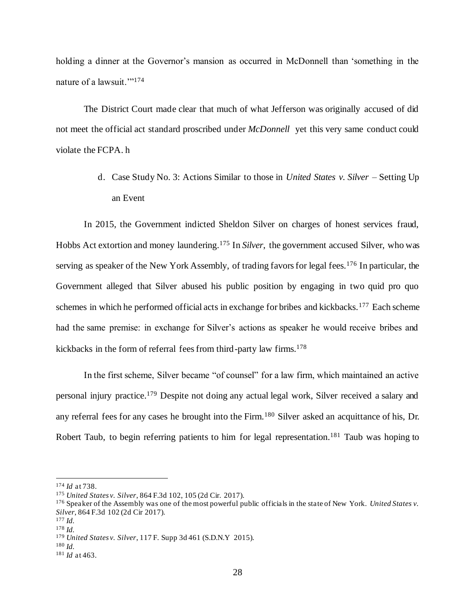holding a dinner at the Governor's mansion as occurred in McDonnell than 'something in the nature of a lawsuit.'"<sup>174</sup>

The District Court made clear that much of what Jefferson was originally accused of did not meet the official act standard proscribed under *McDonnell* yet this very same conduct could violate the FCPA. h

> d. Case Study No. 3: Actions Similar to those in *United States v. Silver* – Setting Up an Event

In 2015, the Government indicted Sheldon Silver on charges of honest services fraud, Hobbs Act extortion and money laundering.<sup>175</sup> In *Silver*, the government accused Silver, who was serving as speaker of the New York Assembly, of trading favors for legal fees.<sup>176</sup> In particular, the Government alleged that Silver abused his public position by engaging in two quid pro quo schemes in which he performed official acts in exchange for bribes and kickbacks.<sup>177</sup> Each scheme had the same premise: in exchange for Silver's actions as speaker he would receive bribes and kickbacks in the form of referral fees from third-party law firms.<sup>178</sup>

In the first scheme, Silver became "of counsel" for a law firm, which maintained an active personal injury practice.<sup>179</sup> Despite not doing any actual legal work, Silver received a salary and any referral fees for any cases he brought into the Firm.<sup>180</sup> Silver asked an acquittance of his, Dr. Robert Taub, to begin referring patients to him for legal representation.<sup>181</sup> Taub was hoping to

<sup>174</sup> *Id* at 738.

<sup>175</sup> *United States v. Silver*, 864 F.3d 102, 105 (2d Cir. 2017).

<sup>176</sup> Speaker of the Assembly was one of the most powerful public officials in the state of New York. *United States v. Silver*, 864 F.3d 102 (2d Cir 2017).

<sup>177</sup> *Id.*

<sup>178</sup> *Id.*

<sup>179</sup> *United States v. Silver*, 117 F. Supp 3d 461 (S.D.N.Y 2015).

<sup>181</sup> *Id* at 463.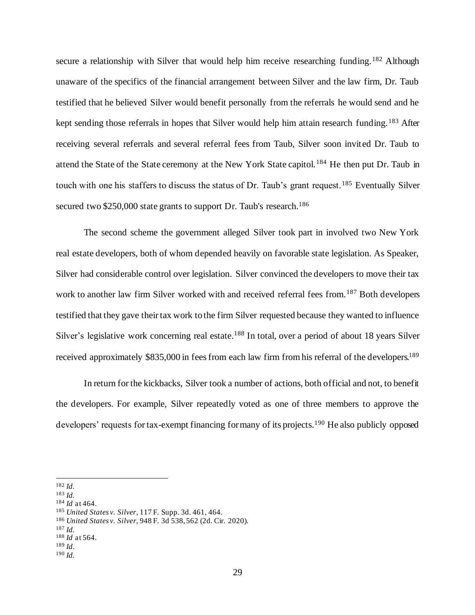secure a relationship with Silver that would help him receive researching funding.<sup>182</sup> Although unaware of the specifics of the financial arrangement between Silver and the law firm, Dr. Taub testified that he believed Silver would benefit personally from the referrals he would send and he kept sending those referrals in hopes that Silver would help him attain research funding.<sup>183</sup> After receiving several referrals and several referral fees from Taub, Silver soon invited Dr. Taub to attend the State of the State ceremony at the New York State capitol.<sup>184</sup> He then put Dr. Taub in touch with one his staffers to discuss the status of Dr. Taub's grant request.<sup>185</sup> Eventually Silver secured two \$250,000 state grants to support Dr. Taub's research.<sup>186</sup>

The second scheme the government alleged Silver took part in involved two New York real estate developers, both of whom depended heavily on favorable state legislation. As Speaker, Silver had considerable control over legislation. Silver convinced the developers to move their tax work to another law firm Silver worked with and received referral fees from.<sup>187</sup> Both developers testified that they gave their tax work to the firm Silver requested because they wanted to influence Silver's legislative work concerning real estate.<sup>188</sup> In total, over a period of about 18 years Silver received approximately \$835,000 in fees from each law firm from his referral of the developers.<sup>189</sup>

In return for the kickbacks, Silver took a number of actions, both official and not, to benefit the developers. For example, Silver repeatedly voted as one of three members to approve the developers' requests for tax-exempt financing for many of its projects.<sup>190</sup> He also publicly opposed

<sup>182</sup> *Id.*

<sup>183</sup> *Id.*

<sup>184</sup> *Id* at 464.

<sup>185</sup> *United States v. Silver*, 117 F. Supp. 3d. 461, 464.

<sup>186</sup> *United States v. Silver*, 948 F. 3d 538, 562 (2d. Cir. 2020).

<sup>188</sup> *Id* at 564.

<sup>189</sup> *Id*.

<sup>190</sup> *Id.*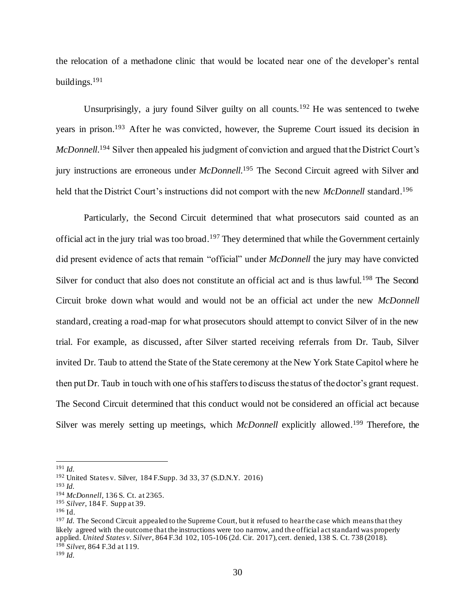the relocation of a methadone clinic that would be located near one of the developer's rental buildings.<sup>191</sup>

Unsurprisingly, a jury found Silver guilty on all counts.<sup>192</sup> He was sentenced to twelve years in prison.<sup>193</sup> After he was convicted, however, the Supreme Court issued its decision in *McDonnell*.<sup>194</sup> Silver then appealed his judgment of conviction and argued that the District Court's jury instructions are erroneous under *McDonnell*. <sup>195</sup> The Second Circuit agreed with Silver and held that the District Court's instructions did not comport with the new *McDonnell* standard.<sup>196</sup>

Particularly, the Second Circuit determined that what prosecutors said counted as an official act in the jury trial was too broad.<sup>197</sup> They determined that while the Government certainly did present evidence of acts that remain "official" under *McDonnell* the jury may have convicted Silver for conduct that also does not constitute an official act and is thus lawful.<sup>198</sup> The Second Circuit broke down what would and would not be an official act under the new *McDonnell* standard, creating a road-map for what prosecutors should attempt to convict Silver of in the new trial. For example, as discussed, after Silver started receiving referrals from Dr. Taub, Silver invited Dr. Taub to attend the State of the State ceremony at the New York State Capitol where he then put Dr. Taub in touch with one of his staffers to discuss the status of the doctor's grant request. The Second Circuit determined that this conduct would not be considered an official act because Silver was merely setting up meetings, which *McDonnell* explicitly allowed.<sup>199</sup> Therefore, the

<sup>191</sup> *Id.*

<sup>192</sup> United States v. Silver, 184 F.Supp. 3d 33, 37 (S.D.N.Y. 2016)

<sup>193</sup> *Id.*

<sup>194</sup> *McDonnell,* 136 S. Ct. at 2365.

<sup>195</sup> *Silver*, 184 F. Supp at 39.

<sup>196</sup> Id.

<sup>&</sup>lt;sup>197</sup> *Id.* The Second Circuit appealed to the Supreme Court, but it refused to hear the case which means that they likely agreed with the outcome that the instructions were too narrow, and the official act standard was properly applied. *United States v. Silver*, 864 F.3d 102, 105-106 (2d. Cir. 2017), cert. denied, 138 S. Ct. 738 (2018). <sup>198</sup> *Silve*r, 864 F.3d at 119.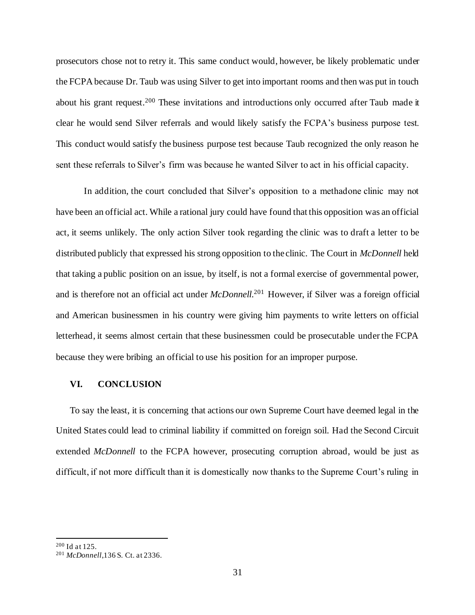prosecutors chose not to retry it. This same conduct would, however, be likely problematic under the FCPA because Dr. Taub was using Silver to get into important rooms and then was put in touch about his grant request.<sup>200</sup> These invitations and introductions only occurred after Taub made it clear he would send Silver referrals and would likely satisfy the FCPA's business purpose test. This conduct would satisfy the business purpose test because Taub recognized the only reason he sent these referrals to Silver's firm was because he wanted Silver to act in his official capacity.

In addition, the court concluded that Silver's opposition to a methadone clinic may not have been an official act. While a rational jury could have found that this opposition was an official act, it seems unlikely. The only action Silver took regarding the clinic was to draft a letter to be distributed publicly that expressed his strong opposition to the clinic. The Court in *McDonnell* held that taking a public position on an issue, by itself, is not a formal exercise of governmental power, and is therefore not an official act under *McDonnell*. <sup>201</sup> However, if Silver was a foreign official and American businessmen in his country were giving him payments to write letters on official letterhead, it seems almost certain that these businessmen could be prosecutable under the FCPA because they were bribing an official to use his position for an improper purpose.

## **VI. CONCLUSION**

To say the least, it is concerning that actions our own Supreme Court have deemed legal in the United States could lead to criminal liability if committed on foreign soil. Had the Second Circuit extended *McDonnell* to the FCPA however, prosecuting corruption abroad, would be just as difficult, if not more difficult than it is domestically now thanks to the Supreme Court's ruling in

<sup>200</sup> Id at 125.

<sup>201</sup> *McDonnell*,136 S. Ct. at 2336.